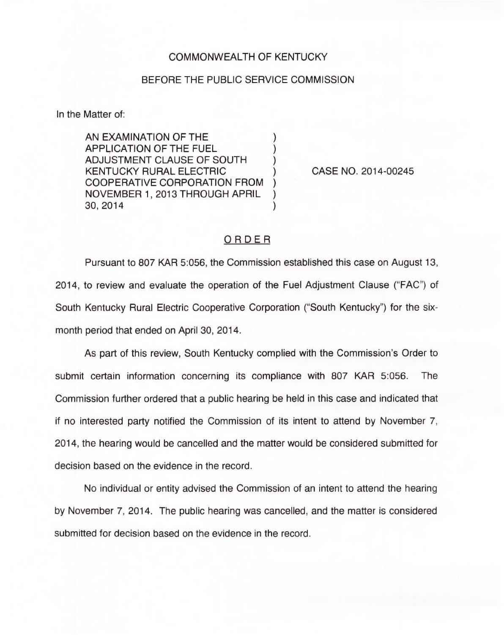## COMMONWEALTH OF KENTUCKY

## BEFORE THE PUBLIC SERVICE COMMISSION

In the Matter of:

AN EXAMINATION OF THE APPLICATION OF THE FUEL ) ADJUSTMENT CLAUSE OF SOUTH ) KENTUCKY RURAL ELECTRIC COOPERATIVE CORPORATION FROM ) NOVEMBER 1, 2013 THROUGH APRIL ) 30, 2014 )

CASE NO. 2014-00245

## ORDER

Pursuant to 807 KAR 5:056, the Commission established this case on August 13, 2014, to review and evaluate the operation of the Fuel Adjustment Clause ("FAC") of South Kentucky Rural Electric Cooperative Corporation ("South Kentucky") for the sixmonth period that ended on April 30, 2014.

As part of this review, South Kentucky complied with the Commission's Order to submit certain information concerning its compliance with 807 KAR 5:056. The Commission further ordered that a public hearing be held in this case and indicated that if no interested party notified the Commission of its intent to attend by November 7, 2014, the hearing would be cancelled and the matter would be considered submitted for decision based on the evidence in the record.

No individual or entity advised the Commission of an intent to attend the hearing by November 7, 2014. The public hearing was cancelled, and the matter is considered submitted for decision based on the evidence in the record.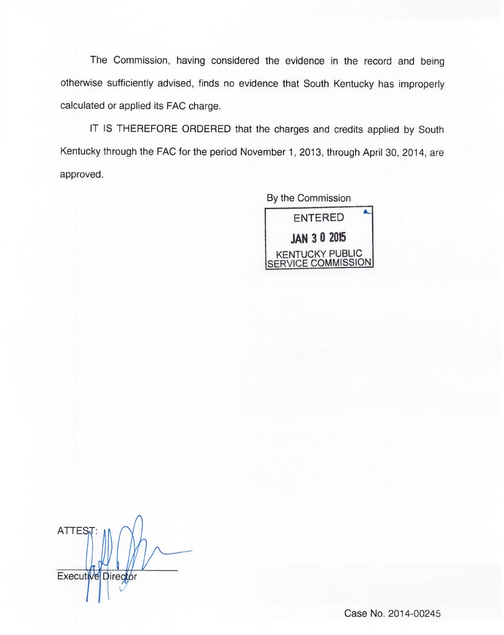The Commission, having considered the evidence in the record and being otherwise sufficiently advised, finds no evidence that South Kentucky has improperly calculated or applied its FAC charge.

IT IS THEREFORE ORDERED that the charges and credits applied by South Kentucky through the FAC for the period November 1, 2013, through April 30, 2014, are approved.

> By the Commission ENTERED JAN 3 <sup>D</sup> 2015 KENTUCKY PUBLIC SERVICE COMMISSION

**ATTEST** Executive Director

Case No. 2014-00245